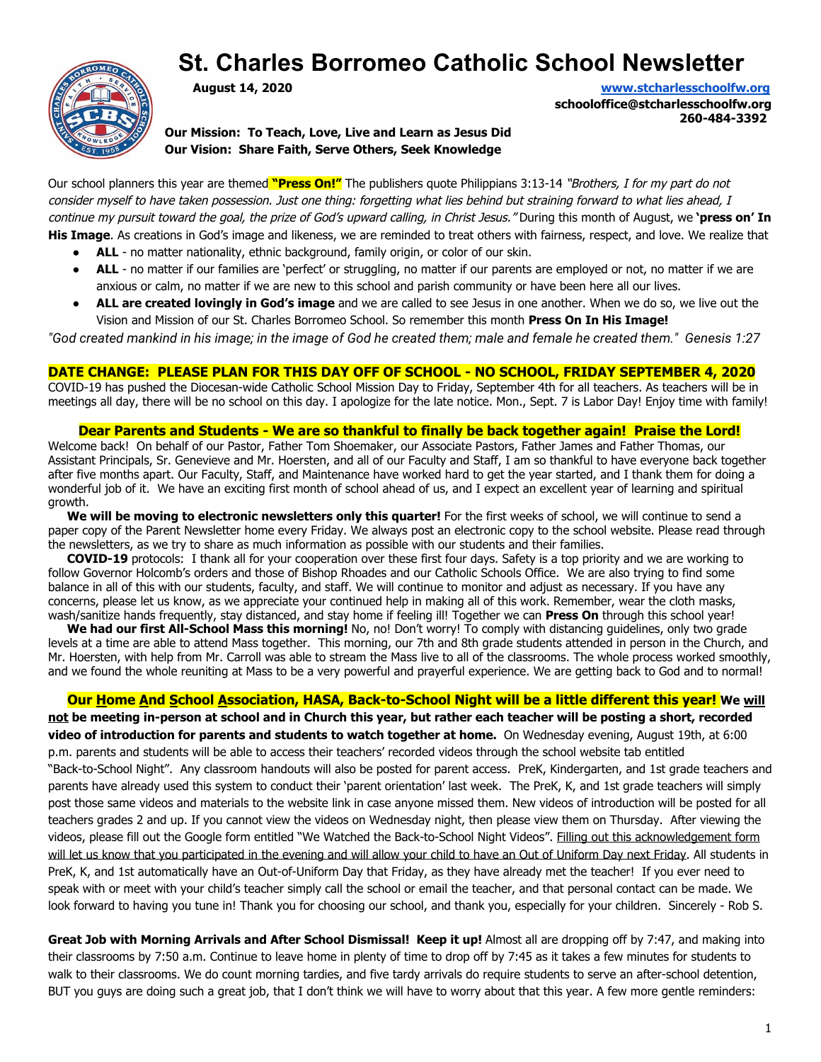# **St. Charles Borromeo Catholic School Newsletter**



**August 14, 2020 [www.stcharlesschoolfw.org](http://www.stcharlesschoolfw.org/)**

**schooloffice@stcharlesschoolfw.org 260-484-3392**

**Our Mission: To Teach, Love, Live and Learn as Jesus Did Our Vision: Share Faith, Serve Others, Seek Knowledge**

Our school planners this year are themed **"Press On!"** The publishers quote Philippians 3:13-14 "Brothers, I for my part do not consider myself to have taken possession. Just one thing: forgetting what lies behind but straining forward to what lies ahead, I continue my pursuit toward the goal, the prize of God's upward calling, in Christ Jesus." During this month of August, we **'press on' In His Image**. As creations in God's image and likeness, we are reminded to treat others with fairness, respect, and love. We realize that

- **ALL** no matter nationality, ethnic background, family origin, or color of our skin.
- **ALL** no matter if our families are 'perfect' or struggling, no matter if our parents are employed or not, no matter if we are anxious or calm, no matter if we are new to this school and parish community or have been here all our lives.
- ALL are created lovingly in God's image and we are called to see Jesus in one another. When we do so, we live out the Vision and Mission of our St. Charles Borromeo School. So remember this month **Press On In His Image!**

"God created mankind in his image; in the image of God he created them; male and female he created them." Genesis 1:27

## **DATE CHANGE: PLEASE PLAN FOR THIS DAY OFF OF SCHOOL - NO SCHOOL, FRIDAY SEPTEMBER 4, 2020**

COVID-19 has pushed the Diocesan-wide Catholic School Mission Day to Friday, September 4th for all teachers. As teachers will be in meetings all day, there will be no school on this day. I apologize for the late notice. Mon., Sept. 7 is Labor Day! Enjoy time with family!

#### **Dear Parents and Students - We are so thankful to finally be back together again! Praise the Lord!**

Welcome back! On behalf of our Pastor, Father Tom Shoemaker, our Associate Pastors, Father James and Father Thomas, our Assistant Principals, Sr. Genevieve and Mr. Hoersten, and all of our Faculty and Staff, I am so thankful to have everyone back together after five months apart. Our Faculty, Staff, and Maintenance have worked hard to get the year started, and I thank them for doing a wonderful job of it. We have an exciting first month of school ahead of us, and I expect an excellent year of learning and spiritual growth.

 **We will be moving to electronic newsletters only this quarter!** For the first weeks of school, we will continue to send a paper copy of the Parent Newsletter home every Friday. We always post an electronic copy to the school website. Please read through the newsletters, as we try to share as much information as possible with our students and their families.

 **COVID-19** protocols: I thank all for your cooperation over these first four days. Safety is a top priority and we are working to follow Governor Holcomb's orders and those of Bishop Rhoades and our Catholic Schools Office. We are also trying to find some balance in all of this with our students, faculty, and staff. We will continue to monitor and adjust as necessary. If you have any concerns, please let us know, as we appreciate your continued help in making all of this work. Remember, wear the cloth masks, wash/sanitize hands frequently, stay distanced, and stay home if feeling ill! Together we can **Press On** through this school year!

 **We had our first All-School Mass this morning!** No, no! Don't worry! To comply with distancing guidelines, only two grade levels at a time are able to attend Mass together. This morning, our 7th and 8th grade students attended in person in the Church, and Mr. Hoersten, with help from Mr. Carroll was able to stream the Mass live to all of the classrooms. The whole process worked smoothly, and we found the whole reuniting at Mass to be a very powerful and prayerful experience. We are getting back to God and to normal!

**Our Home And School Association, HASA, Back-to-School Night will be a little different this year! We will**

**not be meeting in-person at school and in Church this year, but rather each teacher will be posting a short, recorded video of introduction for parents and students to watch together at home.** On Wednesday evening, August 19th, at 6:00 p.m. parents and students will be able to access their teachers' recorded videos through the school website tab entitled "Back-to-School Night". Any classroom handouts will also be posted for parent access. PreK, Kindergarten, and 1st grade teachers and parents have already used this system to conduct their 'parent orientation' last week. The PreK, K, and 1st grade teachers will simply post those same videos and materials to the website link in case anyone missed them. New videos of introduction will be posted for all teachers grades 2 and up. If you cannot view the videos on Wednesday night, then please view them on Thursday. After viewing the videos, please fill out the Google form entitled "We Watched the Back-to-School Night Videos". Filling out this acknowledgement form will let us know that you participated in the evening and will allow your child to have an Out of Uniform Day next Friday. All students in PreK, K, and 1st automatically have an Out-of-Uniform Day that Friday, as they have already met the teacher! If you ever need to speak with or meet with your child's teacher simply call the school or email the teacher, and that personal contact can be made. We look forward to having you tune in! Thank you for choosing our school, and thank you, especially for your children. Sincerely - Rob S.

**Great Job with Morning Arrivals and After School Dismissal! Keep it up!** Almost all are dropping off by 7:47, and making into their classrooms by 7:50 a.m. Continue to leave home in plenty of time to drop off by 7:45 as it takes a few minutes for students to walk to their classrooms. We do count morning tardies, and five tardy arrivals do require students to serve an after-school detention, BUT you guys are doing such a great job, that I don't think we will have to worry about that this year. A few more gentle reminders: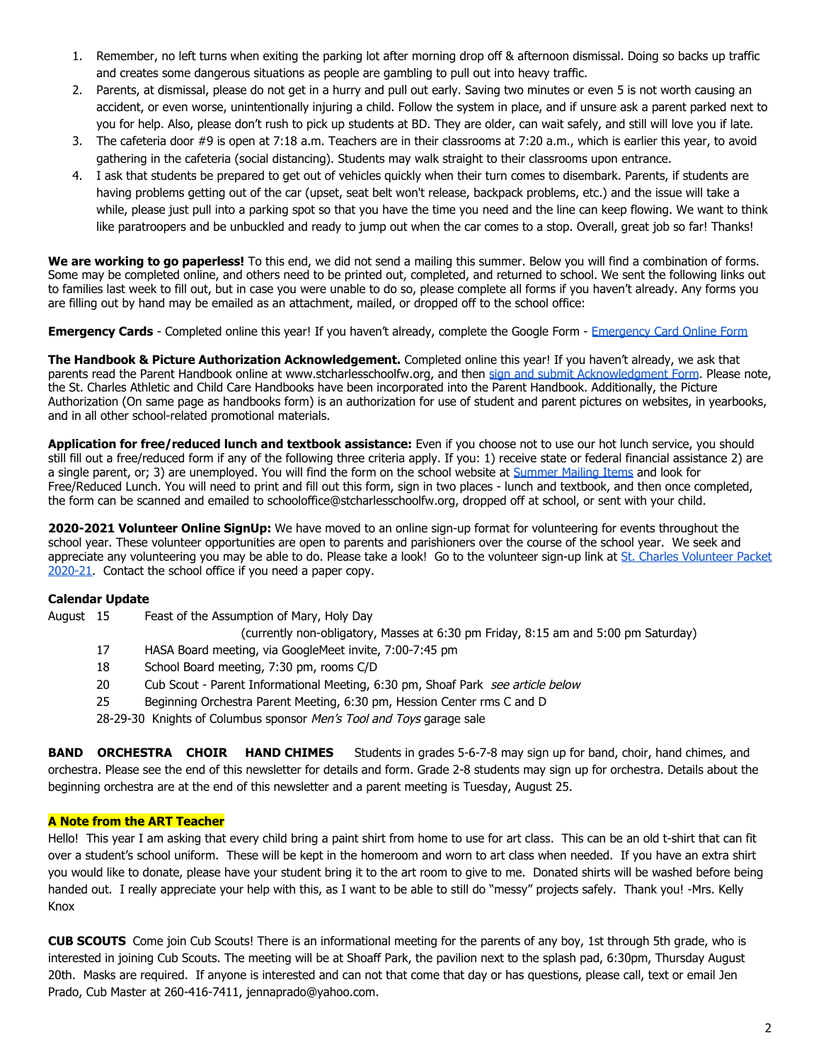- 1. Remember, no left turns when exiting the parking lot after morning drop off & afternoon dismissal. Doing so backs up traffic and creates some dangerous situations as people are gambling to pull out into heavy traffic.
- 2. Parents, at dismissal, please do not get in a hurry and pull out early. Saving two minutes or even 5 is not worth causing an accident, or even worse, unintentionally injuring a child. Follow the system in place, and if unsure ask a parent parked next to you for help. Also, please don't rush to pick up students at BD. They are older, can wait safely, and still will love you if late.
- 3. The cafeteria door #9 is open at 7:18 a.m. Teachers are in their classrooms at 7:20 a.m., which is earlier this year, to avoid gathering in the cafeteria (social distancing). Students may walk straight to their classrooms upon entrance.
- 4. I ask that students be prepared to get out of vehicles quickly when their turn comes to disembark. Parents, if students are having problems getting out of the car (upset, seat belt won't release, backpack problems, etc.) and the issue will take a while, please just pull into a parking spot so that you have the time you need and the line can keep flowing. We want to think like paratroopers and be unbuckled and ready to jump out when the car comes to a stop. Overall, great job so far! Thanks!

**We are working to go paperless!** To this end, we did not send a mailing this summer. Below you will find a combination of forms. Some may be completed online, and others need to be printed out, completed, and returned to school. We sent the following links out to families last week to fill out, but in case you were unable to do so, please complete all forms if you haven't already. Any forms you are filling out by hand may be emailed as an attachment, mailed, or dropped off to the school office:

**Emergency Cards** - Completed online this year! If you haven't already, complete the Google Form - [Emergency Card Online Form](https://docs.google.com/forms/d/e/1FAIpQLSdALyLLgNap4oN4lYU1OjP-ncTVnWpwCWf_UTercPDnEOVwCw/viewform)

**The Handbook & Picture Authorization Acknowledgement.** Completed online this year! If you haven't already, we ask that parents read the Parent Handbook online at www.stcharlesschoolfw.org, and then [sign and submit Acknowledgment Form](https://docs.google.com/forms/d/e/1FAIpQLSfInYhUniifGJsmVK7LhiaAEGrPH6pT7vtZAVT-8Tz5CmNGTg/viewform). Please note, the St. Charles Athletic and Child Care Handbooks have been incorporated into the Parent Handbook. Additionally, the Picture Authorization (On same page as handbooks form) is an authorization for use of student and parent pictures on websites, in yearbooks, and in all other school-related promotional materials.

**Application for free/reduced lunch and textbook assistance:** Even if you choose not to use our hot lunch service, you should still fill out a free/reduced form if any of the following three criteria apply. If you: 1) receive state or federal financial assistance 2) are a single parent, or; 3) are unemployed. You will find the form on the school website at [Summer Mailing Items](http://www.stcharlesschoolfw.org/summer-mailing-items.php) and look for Free/Reduced Lunch. You will need to print and fill out this form, sign in two places - lunch and textbook, and then once completed, the form can be scanned and emailed to schooloffice@stcharlesschoolfw.org, dropped off at school, or sent with your child.

**2020-2021 Volunteer Online SignUp:** We have moved to an online sign-up format for volunteering for events throughout the school year. These volunteer opportunities are open to parents and parishioners over the course of the school year. We seek and appreciate any volunteering you may be able to do. Please take a look! Go to the volunteer sign-up link at [St. Charles Volunteer Packet](https://docs.google.com/forms/d/e/1FAIpQLSdWILIzRykHenFl1AK4GREhnUwRnPI7iykmpEYsr1CJfBTOuw/viewform) [2020-21.](https://docs.google.com/forms/d/e/1FAIpQLSdWILIzRykHenFl1AK4GREhnUwRnPI7iykmpEYsr1CJfBTOuw/viewform) Contact the school office if you need a paper copy.

#### **Calendar Update**

- August 15 Feast of the Assumption of Mary, Holy Day (currently non-obligatory, Masses at 6:30 pm Friday, 8:15 am and 5:00 pm Saturday) 17 HASA Board meeting, via GoogleMeet invite, 7:00-7:45 pm 18 School Board meeting, 7:30 pm, rooms C/D
	- 20 Cub Scout Parent Informational Meeting, 6:30 pm, Shoaf Park see article below
	- 25 Beginning Orchestra Parent Meeting, 6:30 pm, Hession Center rms C and D
	- 28-29-30 Knights of Columbus sponsor Men's Tool and Toys garage sale

**BAND ORCHESTRA CHOIR HAND CHIMES** Students in grades 5-6-7-8 may sign up for band, choir, hand chimes, and orchestra. Please see the end of this newsletter for details and form. Grade 2-8 students may sign up for orchestra. Details about the beginning orchestra are at the end of this newsletter and a parent meeting is Tuesday, August 25.

## **A Note from the ART Teacher**

Hello! This year I am asking that every child bring a paint shirt from home to use for art class. This can be an old t-shirt that can fit over a student's school uniform. These will be kept in the homeroom and worn to art class when needed. If you have an extra shirt you would like to donate, please have your student bring it to the art room to give to me. Donated shirts will be washed before being handed out. I really appreciate your help with this, as I want to be able to still do "messy" projects safely. Thank you! -Mrs. Kelly Knox

**CUB SCOUTS** Come join Cub Scouts! There is an informational meeting for the parents of any boy, 1st through 5th grade, who is interested in joining Cub Scouts. The meeting will be at Shoaff Park, the pavilion next to the splash pad, 6:30pm, Thursday August 20th. Masks are required. If anyone is interested and can not that come that day or has questions, please call, text or email Jen Prado, Cub Master at 260-416-7411, jennaprado@yahoo.com.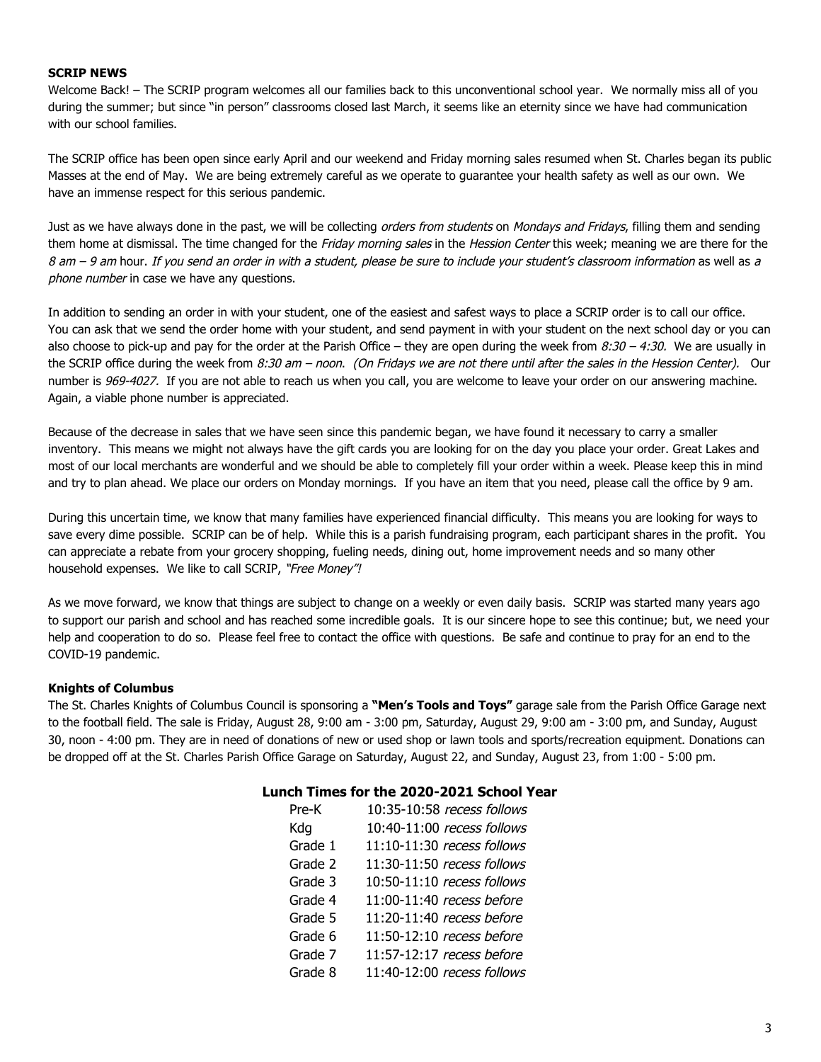#### **SCRIP NEWS**

Welcome Back! – The SCRIP program welcomes all our families back to this unconventional school year. We normally miss all of you during the summer; but since "in person" classrooms closed last March, it seems like an eternity since we have had communication with our school families.

The SCRIP office has been open since early April and our weekend and Friday morning sales resumed when St. Charles began its public Masses at the end of May. We are being extremely careful as we operate to guarantee your health safety as well as our own. We have an immense respect for this serious pandemic.

Just as we have always done in the past, we will be collecting *orders from students* on *Mondays and Fridays*, filling them and sending them home at dismissal. The time changed for the Friday morning sales in the Hession Center this week; meaning we are there for the 8 am – 9 am hour. If you send an order in with a student, please be sure to include your student's classroom information as well as a phone number in case we have any questions.

In addition to sending an order in with your student, one of the easiest and safest ways to place a SCRIP order is to call our office. You can ask that we send the order home with your student, and send payment in with your student on the next school day or you can also choose to pick-up and pay for the order at the Parish Office – they are open during the week from  $8:30 - 4:30$ . We are usually in the SCRIP office during the week from 8:30 am – noon. (On Fridays we are not there until after the sales in the Hession Center). Our number is 969-4027. If you are not able to reach us when you call, you are welcome to leave your order on our answering machine. Again, a viable phone number is appreciated.

Because of the decrease in sales that we have seen since this pandemic began, we have found it necessary to carry a smaller inventory. This means we might not always have the gift cards you are looking for on the day you place your order. Great Lakes and most of our local merchants are wonderful and we should be able to completely fill your order within a week. Please keep this in mind and try to plan ahead. We place our orders on Monday mornings. If you have an item that you need, please call the office by 9 am.

During this uncertain time, we know that many families have experienced financial difficulty. This means you are looking for ways to save every dime possible. SCRIP can be of help. While this is a parish fundraising program, each participant shares in the profit. You can appreciate a rebate from your grocery shopping, fueling needs, dining out, home improvement needs and so many other household expenses. We like to call SCRIP, "Free Money"!

As we move forward, we know that things are subject to change on a weekly or even daily basis. SCRIP was started many years ago to support our parish and school and has reached some incredible goals. It is our sincere hope to see this continue; but, we need your help and cooperation to do so. Please feel free to contact the office with questions. Be safe and continue to pray for an end to the COVID-19 pandemic.

#### **Knights of Columbus**

The St. Charles Knights of Columbus Council is sponsoring a **"Men's Tools and Toys"** garage sale from the Parish Office Garage next to the football field. The sale is Friday, August 28, 9:00 am - 3:00 pm, Saturday, August 29, 9:00 am - 3:00 pm, and Sunday, August 30, noon - 4:00 pm. They are in need of donations of new or used shop or lawn tools and sports/recreation equipment. Donations can be dropped off at the St. Charles Parish Office Garage on Saturday, August 22, and Sunday, August 23, from 1:00 - 5:00 pm.

#### **Lunch Times for the 2020-2021 School Year**

| Pre-K   | 10:35-10:58 recess follows |
|---------|----------------------------|
| Kdq     | 10:40-11:00 recess follows |
| Grade 1 | 11:10-11:30 recess follows |
| Grade 2 | 11:30-11:50 recess follows |
| Grade 3 | 10:50-11:10 recess follows |
| Grade 4 | 11:00-11:40 recess before  |
| Grade 5 | 11:20-11:40 recess before  |
| Grade 6 | 11:50-12:10 recess before  |
| Grade 7 | 11:57-12:17 recess before  |
| Grade 8 | 11:40-12:00 recess follows |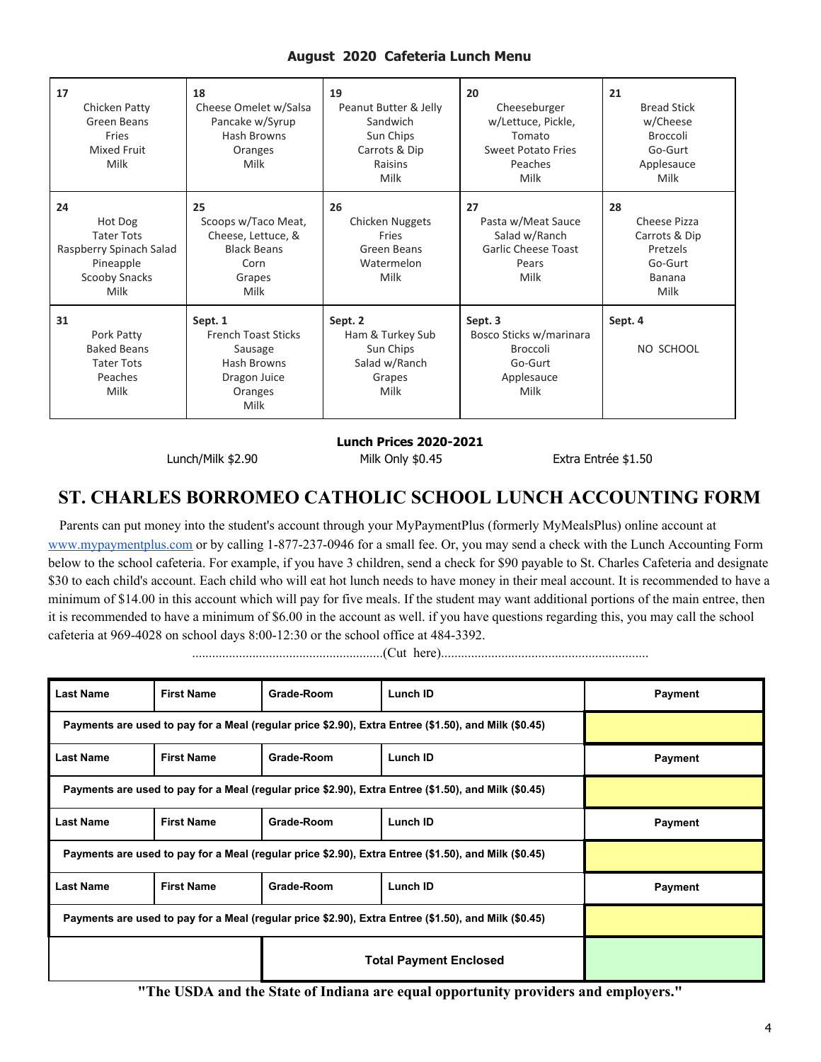# **August 2020 Cafeteria Lunch Menu**

| 17<br>Chicken Patty<br>Green Beans<br>Fries<br>Mixed Fruit<br>Milk                                         | 18<br>Cheese Omelet w/Salsa<br>Pancake w/Syrup<br>Hash Browns<br>Oranges<br>Milk                   | 19<br>Peanut Butter & Jelly<br>Sandwich<br>Sun Chips<br>Carrots & Dip<br>Raisins<br>Milk | 20<br>Cheeseburger<br>w/Lettuce, Pickle,<br>Tomato<br><b>Sweet Potato Fries</b><br>Peaches<br>Milk | 21<br><b>Bread Stick</b><br>w/Cheese<br><b>Broccoli</b><br>Go-Gurt<br>Applesauce<br>Milk |
|------------------------------------------------------------------------------------------------------------|----------------------------------------------------------------------------------------------------|------------------------------------------------------------------------------------------|----------------------------------------------------------------------------------------------------|------------------------------------------------------------------------------------------|
| 24<br>Hot Dog<br><b>Tater Tots</b><br>Raspberry Spinach Salad<br>Pineapple<br><b>Scooby Snacks</b><br>Milk | 25<br>Scoops w/Taco Meat,<br>Cheese, Lettuce, &<br><b>Black Beans</b><br>Corn<br>Grapes<br>Milk    | 26<br>Chicken Nuggets<br>Fries<br>Green Beans<br>Watermelon<br>Milk                      | 27<br>Pasta w/Meat Sauce<br>Salad w/Ranch<br><b>Garlic Cheese Toast</b><br>Pears<br>Milk           | 28<br>Cheese Pizza<br>Carrots & Dip<br>Pretzels<br>Go-Gurt<br><b>Banana</b><br>Milk      |
| 31<br>Pork Patty<br><b>Baked Beans</b><br><b>Tater Tots</b><br>Peaches<br>Milk                             | Sept. 1<br><b>French Toast Sticks</b><br>Sausage<br>Hash Browns<br>Dragon Juice<br>Oranges<br>Milk | Sept. 2<br>Ham & Turkey Sub<br>Sun Chips<br>Salad w/Ranch<br>Grapes<br>Milk              | Sept. 3<br>Bosco Sticks w/marinara<br><b>Broccoli</b><br>Go-Gurt<br>Applesauce<br>Milk             | Sept. 4<br>NO SCHOOL                                                                     |

**Lunch Prices 2020-2021**

Lunch/Milk \$2.90 Milk Only \$0.45 Extra Entrée \$1.50

# **ST. CHARLES BORROMEO CATHOLIC SCHOOL LUNCH ACCOUNTING FORM**

Parents can put money into the student's account through your MyPaymentPlus (formerly MyMealsPlus) online account at [www.mypaymentplus.com](https://www.mypaymentsplus.com/welcome) or by calling 1-877-237-0946 for a small fee. Or, you may send a check with the Lunch Accounting Form below to the school cafeteria. For example, if you have 3 children, send a check for \$90 payable to St. Charles Cafeteria and designate \$30 to each child's account. Each child who will eat hot lunch needs to have money in their meal account. It is recommended to have a minimum of \$14.00 in this account which will pay for five meals. If the student may want additional portions of the main entree, then it is recommended to have a minimum of \$6.00 in the account as well. if you have questions regarding this, you may call the school cafeteria at 969-4028 on school days 8:00-12:30 or the school office at 484-3392.

.........................................................(Cut here)..............................................................

| <b>Last Name</b>                                                                                     | <b>First Name</b> | Grade-Room | Lunch ID | Payment |
|------------------------------------------------------------------------------------------------------|-------------------|------------|----------|---------|
| Payments are used to pay for a Meal (regular price \$2.90), Extra Entree (\$1.50), and Milk (\$0.45) |                   |            |          |         |
| <b>Last Name</b>                                                                                     | <b>First Name</b> | Grade-Room | Lunch ID | Payment |
| Payments are used to pay for a Meal (regular price \$2.90), Extra Entree (\$1.50), and Milk (\$0.45) |                   |            |          |         |
| <b>Last Name</b>                                                                                     | <b>First Name</b> | Grade-Room | Lunch ID | Payment |
| Payments are used to pay for a Meal (regular price \$2.90), Extra Entree (\$1.50), and Milk (\$0.45) |                   |            |          |         |
| <b>Last Name</b>                                                                                     | <b>First Name</b> | Grade-Room | Lunch ID | Payment |
| Payments are used to pay for a Meal (regular price \$2.90), Extra Entree (\$1.50), and Milk (\$0.45) |                   |            |          |         |
| <b>Total Payment Enclosed</b>                                                                        |                   |            |          |         |

**"The USDA and the State of Indiana are equal opportunity providers and employers."**